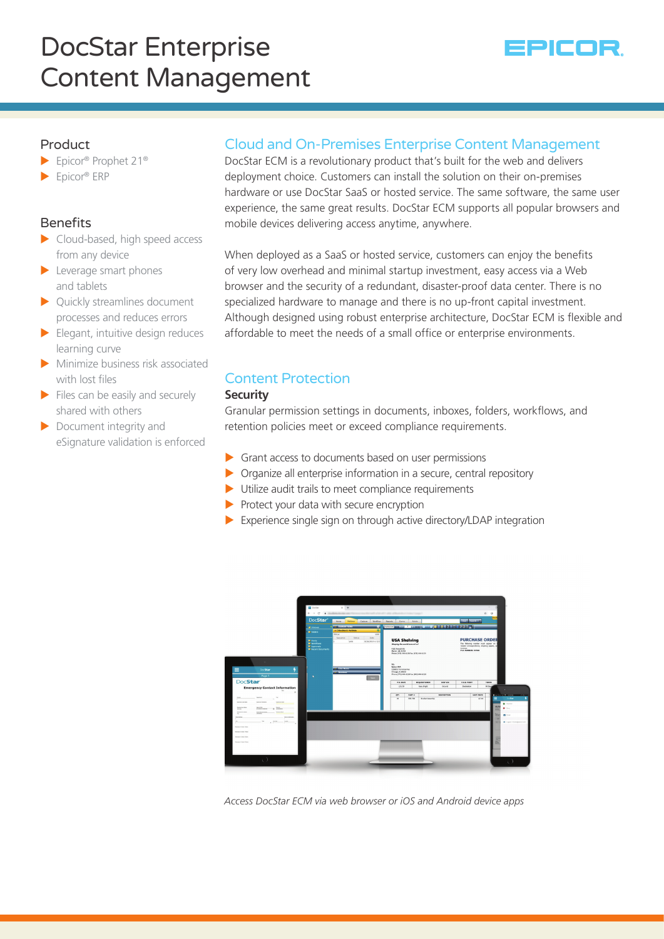# DocStar Enterprise Content Management



## Product

- ▶ Epicor® Prophet 21<sup>®</sup>
- $\blacktriangleright$  Epicor® ERP

# Benefits

- $\blacktriangleright$  Cloud-based, high speed access from any device
- $\blacktriangleright$  Leverage smart phones and tablets
- $\triangleright$  Quickly streamlines document processes and reduces errors
- $\blacktriangleright$  Elegant, intuitive design reduces learning curve
- $\blacktriangleright$  Minimize business risk associated with lost files
- $\blacktriangleright$  Files can be easily and securely shared with others
- $\triangleright$  Document integrity and eSignature validation is enforced

# Cloud and On-Premises Enterprise Content Management

DocStar ECM is a revolutionary product that's built for the web and delivers deployment choice. Customers can install the solution on their on-premises hardware or use DocStar SaaS or hosted service. The same software, the same user experience, the same great results. DocStar ECM supports all popular browsers and mobile devices delivering access anytime, anywhere.

When deployed as a SaaS or hosted service, customers can enjoy the benefits of very low overhead and minimal startup investment, easy access via a Web browser and the security of a redundant, disaster-proof data center. There is no specialized hardware to manage and there is no up-front capital investment. Although designed using robust enterprise architecture, DocStar ECM is flexible and affordable to meet the needs of a small office or enterprise environments.

# Content Protection

#### **Security**

Granular permission settings in documents, inboxes, folders, workflows, and retention policies meet or exceed compliance requirements.

- $\triangleright$  Grant access to documents based on user permissions
- $\triangleright$  Organize all enterprise information in a secure, central repository
- $\blacktriangleright$  Utilize audit trails to meet compliance requirements
- $\triangleright$  Protect your data with secure encryption
- $\blacktriangleright$  Experience single sign on through active directory/LDAP integration



*Access DocStar ECM via web browser or iOS and Android device apps*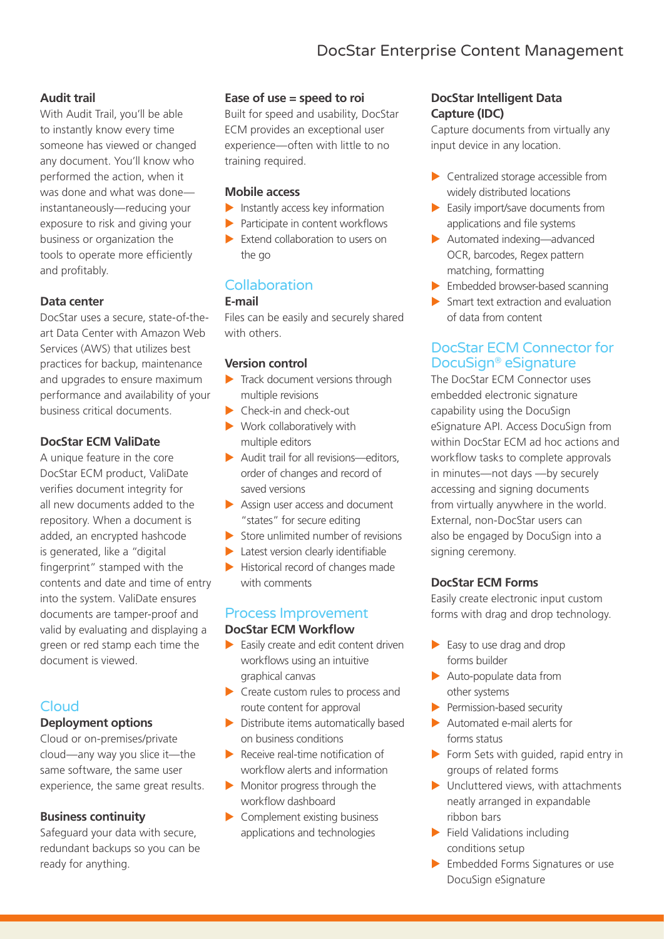# **Audit trail**

With Audit Trail, you'll be able to instantly know every time someone has viewed or changed any document. You'll know who performed the action, when it was done and what was done instantaneously—reducing your exposure to risk and giving your business or organization the tools to operate more efficiently and profitably.

## **Data center**

DocStar uses a secure, state-of-theart Data Center with Amazon Web Services (AWS) that utilizes best practices for backup, maintenance and upgrades to ensure maximum performance and availability of your business critical documents.

# **DocStar ECM ValiDate**

A unique feature in the core DocStar ECM product, ValiDate verifies document integrity for all new documents added to the repository. When a document is added, an encrypted hashcode is generated, like a "digital fingerprint" stamped with the contents and date and time of entry into the system. ValiDate ensures documents are tamper-proof and valid by evaluating and displaying a green or red stamp each time the document is viewed.

# Cloud

#### **Deployment options**

Cloud or on-premises/private cloud—any way you slice it—the same software, the same user experience, the same great results.

#### **Business continuity**

Safeguard your data with secure, redundant backups so you can be ready for anything.

#### **Ease of use = speed to roi**

Built for speed and usability, DocStar ECM provides an exceptional user experience—often with little to no training required.

#### **Mobile access**

- $\blacktriangleright$  Instantly access key information
- $\blacktriangleright$  Participate in content workflows
- $\blacktriangleright$  Extend collaboration to users on the go

# **Collaboration**

#### **E-mail**

Files can be easily and securely shared with others.

#### **Version control**

- $\blacktriangleright$  Track document versions through multiple revisions
- $\blacktriangleright$  Check-in and check-out
- $\blacktriangleright$  Work collaboratively with multiple editors
- $\blacktriangleright$  Audit trail for all revisions—editors, order of changes and record of saved versions
- $\blacktriangleright$  Assign user access and document "states" for secure editing
- $\triangleright$  Store unlimited number of revisions
- $\blacktriangleright$  Latest version clearly identifiable
- $\blacktriangleright$  Historical record of changes made with comments

# Process Improvement **DocStar ECM Workflow**

- $\blacktriangleright$  Easily create and edit content driven workflows using an intuitive graphical canvas
- $\blacktriangleright$  Create custom rules to process and route content for approval
- $\triangleright$  Distribute items automatically based on business conditions
- $\blacktriangleright$  Receive real-time notification of workflow alerts and information
- $\blacktriangleright$  Monitor progress through the workflow dashboard
- $\blacktriangleright$  Complement existing business applications and technologies

## **DocStar Intelligent Data Capture (IDC)**

Capture documents from virtually any input device in any location.

- $\blacktriangleright$  Centralized storage accessible from widely distributed locations
- $\blacktriangleright$  Easily import/save documents from applications and file systems
- $\blacktriangleright$  Automated indexing—advanced OCR, barcodes, Regex pattern matching, formatting
- $\blacktriangleright$  Embedded browser-based scanning
- $\blacktriangleright$  Smart text extraction and evaluation of data from content

# DocStar ECM Connector for DocuSign® eSignature

The DocStar ECM Connector uses embedded electronic signature capability using the DocuSign eSignature API. Access DocuSign from within DocStar ECM ad hoc actions and workflow tasks to complete approvals in minutes—not days —by securely accessing and signing documents from virtually anywhere in the world. External, non-DocStar users can also be engaged by DocuSign into a signing ceremony.

## **DocStar ECM Forms**

Easily create electronic input custom forms with drag and drop technology.

- $\blacktriangleright$  Easy to use drag and drop forms builder
- $\blacktriangleright$  Auto-populate data from other systems
- $\blacktriangleright$  Permission-based security
- $\blacktriangleright$  Automated e-mail alerts for forms status
- $\triangleright$  Form Sets with guided, rapid entry in groups of related forms
- $\blacktriangleright$  Uncluttered views, with attachments neatly arranged in expandable ribbon bars
- $\blacktriangleright$  Field Validations including conditions setup
- $\blacktriangleright$  Embedded Forms Signatures or use DocuSign eSignature